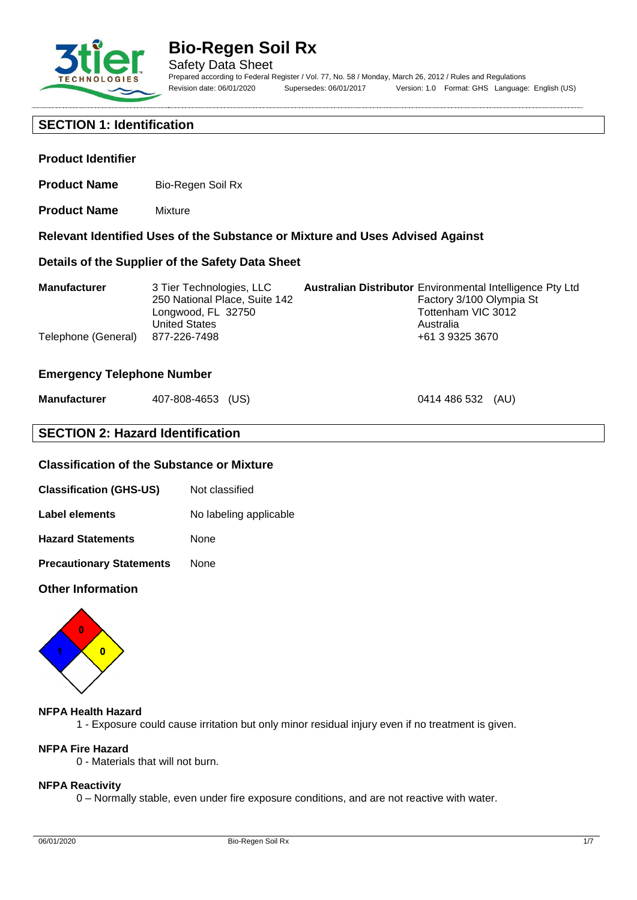

**Product Identifier**

# **Bio-Regen Soil Rx**

**Relevant Identified Uses of the Substance or Mixture and Uses Advised Against**

Safety Data Sheet Prepared according to Federal Register / Vol. 77, No. 58 / Monday, March 26, 2012 / Rules and Regulations Revision date: 06/01/2020 Supersedes: 06/01/2017 Version: 1.0 Format: GHS Language: English (US)

0414 486 532 (AU)

### **SECTION 1: Identification**

**Product Name** Mixture

**Product Name** Bio-Regen Soil Rx

| Details of the Supplier of the Safety Data Sheet |                                                                                                                         |  |                                                                                                                                                    |
|--------------------------------------------------|-------------------------------------------------------------------------------------------------------------------------|--|----------------------------------------------------------------------------------------------------------------------------------------------------|
| <b>Manufacturer</b><br>Telephone (General)       | 3 Tier Technologies, LLC<br>250 National Place, Suite 142<br>Longwood, FL 32750<br><b>United States</b><br>877-226-7498 |  | <b>Australian Distributor Environmental Intelligence Pty Ltd</b><br>Factory 3/100 Olympia St<br>Tottenham VIC 3012<br>Australia<br>+61 3 9325 3670 |

#### **Emergency Telephone Number**

| <b>Manufacturer</b> | 407-808-4653 (US) |  |
|---------------------|-------------------|--|
|---------------------|-------------------|--|

### **SECTION 2: Hazard Identification**

### **Classification of the Substance or Mixture**

| Label elements | No labeling applicable |
|----------------|------------------------|
|----------------|------------------------|

**Hazard Statements** None

**Precautionary Statements** None

#### **Other Information**



#### **NFPA Health Hazard**

1 - Exposure could cause irritation but only minor residual injury even if no treatment is given.

## **NFPA Fire Hazard**

0 - Materials that will not burn.

#### **NFPA Reactivity**

0 – Normally stable, even under fire exposure conditions, and are not reactive with water.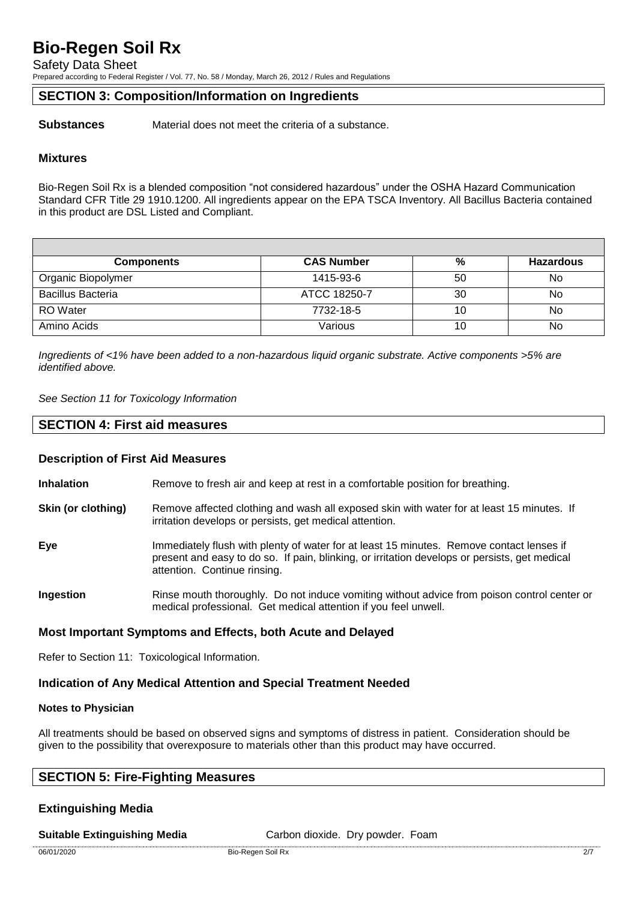Safety Data Sheet

Prepared according to Federal Register / Vol. 77, No. 58 / Monday, March 26, 2012 / Rules and Regulations

### **SECTION 3: Composition/Information on Ingredients**

**Substances** Material does not meet the criteria of a substance.

#### **Mixtures**

Bio-Regen Soil Rx is a blended composition "not considered hazardous" under the OSHA Hazard Communication Standard CFR Title 29 1910.1200. All ingredients appear on the EPA TSCA Inventory. All Bacillus Bacteria contained in this product are DSL Listed and Compliant.

| <b>Components</b>        | <b>CAS Number</b> | %  | <b>Hazardous</b> |
|--------------------------|-------------------|----|------------------|
| Organic Biopolymer       | 1415-93-6         | 50 | No               |
| <b>Bacillus Bacteria</b> | ATCC 18250-7      | 30 | No               |
| <b>RO</b> Water          | 7732-18-5         | 10 | No               |
| Amino Acids              | Various           | 10 | No               |

*Ingredients of <1% have been added to a non-hazardous liquid organic substrate. Active components >5% are identified above.*

*See Section 11 for Toxicology Information*

#### **SECTION 4: First aid measures**

#### **Description of First Aid Measures**

**Inhalation** Remove to fresh air and keep at rest in a comfortable position for breathing.

- **Skin (or clothing)** Remove affected clothing and wash all exposed skin with water for at least 15 minutes. If irritation develops or persists, get medical attention.
- **Eye** Immediately flush with plenty of water for at least 15 minutes. Remove contact lenses if present and easy to do so. If pain, blinking, or irritation develops or persists, get medical attention. Continue rinsing.
- **Ingestion** Rinse mouth thoroughly. Do not induce vomiting without advice from poison control center or medical professional. Get medical attention if you feel unwell.

#### **Most Important Symptoms and Effects, both Acute and Delayed**

Refer to Section 11: Toxicological Information.

#### **Indication of Any Medical Attention and Special Treatment Needed**

#### **Notes to Physician**

All treatments should be based on observed signs and symptoms of distress in patient. Consideration should be given to the possibility that overexposure to materials other than this product may have occurred.

### **SECTION 5: Fire-Fighting Measures**

#### **Extinguishing Media**

**Suitable Extinguishing Media** Carbon dioxide. Dry powder. Foam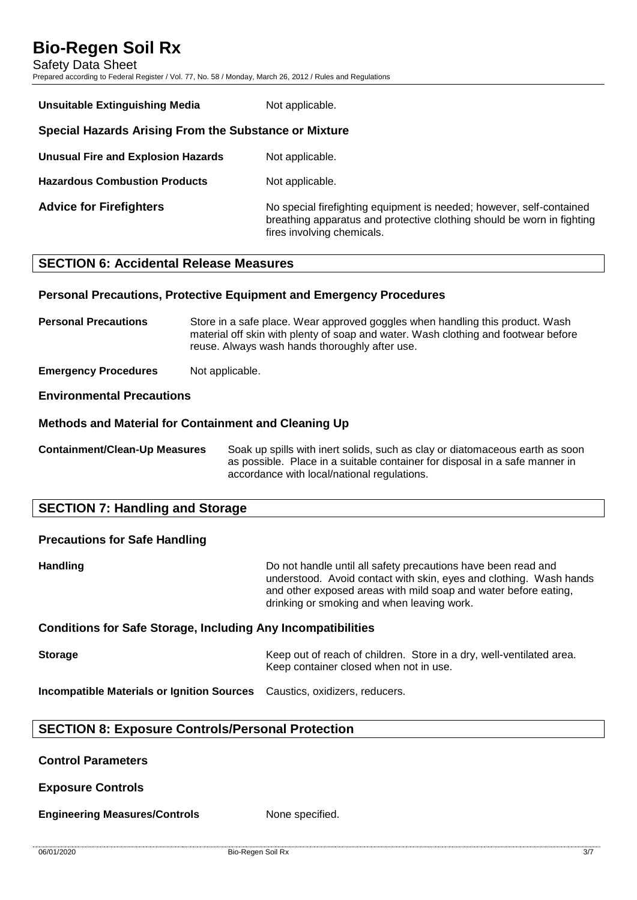Safety Data Sheet

Prepared according to Federal Register / Vol. 77, No. 58 / Monday, March 26, 2012 / Rules and Regulations

| <b>Unsuitable Extinguishing Media</b>                 | Not applicable.                                                                                                                                                              |  |
|-------------------------------------------------------|------------------------------------------------------------------------------------------------------------------------------------------------------------------------------|--|
| Special Hazards Arising From the Substance or Mixture |                                                                                                                                                                              |  |
| <b>Unusual Fire and Explosion Hazards</b>             | Not applicable.                                                                                                                                                              |  |
| <b>Hazardous Combustion Products</b>                  | Not applicable.                                                                                                                                                              |  |
| <b>Advice for Firefighters</b>                        | No special firefighting equipment is needed; however, self-contained<br>breathing apparatus and protective clothing should be worn in fighting<br>fires involving chemicals. |  |

### **SECTION 6: Accidental Release Measures**

#### **Personal Precautions, Protective Equipment and Emergency Procedures**

**Personal Precautions** Store in a safe place. Wear approved goggles when handling this product. Wash material off skin with plenty of soap and water. Wash clothing and footwear before reuse. Always wash hands thoroughly after use.

**Emergency Procedures** Not applicable.

#### **Environmental Precautions**

#### **Methods and Material for Containment and Cleaning Up**

**Containment/Clean-Up Measures** Soak up spills with inert solids, such as clay or diatomaceous earth as soon as possible. Place in a suitable container for disposal in a safe manner in accordance with local/national regulations.

### **SECTION 7: Handling and Storage**

# **Precautions for Safe Handling**

**Handling Handling Handling Example 10** Do not handle until all safety precautions have been read and understood. Avoid contact with skin, eyes and clothing. Wash hands and other exposed areas with mild soap and water before eating, drinking or smoking and when leaving work.

#### **Conditions for Safe Storage, Including Any Incompatibilities**

**Storage** Keep out of reach of children. Store in a dry, well-ventilated area. Keep container closed when not in use.

**Incompatible Materials or Ignition Sources** Caustics, oxidizers, reducers.

#### **SECTION 8: Exposure Controls/Personal Protection**

#### **Control Parameters**

**Exposure Controls**

**Engineering Measures/Controls** None specified.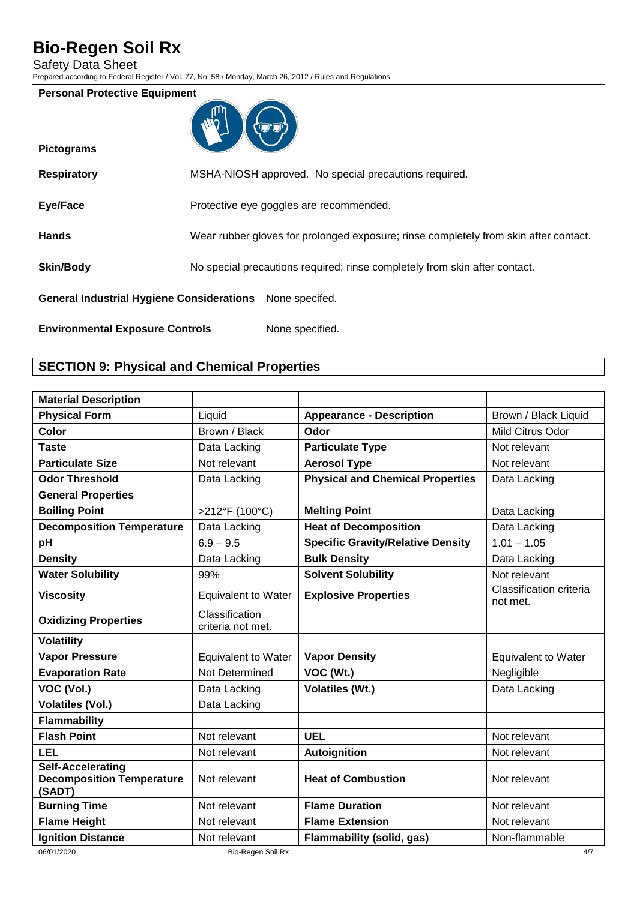Safety Data Sheet

**Pictograms**

Prepared according to Federal Register / Vol. 77, No. 58 / Monday, March 26, 2012 / Rules and Regulations

#### **Personal Protective Equipment**



| <b>Respiratory</b>                                       | MSHA-NIOSH approved. No special precautions required.                                |
|----------------------------------------------------------|--------------------------------------------------------------------------------------|
| Eye/Face                                                 | Protective eye goggles are recommended.                                              |
| <b>Hands</b>                                             | Wear rubber gloves for prolonged exposure; rinse completely from skin after contact. |
| <b>Skin/Body</b>                                         | No special precautions required; rinse completely from skin after contact.           |
| General Industrial Hygiene Considerations None specifed. |                                                                                      |
| <b>Environmental Exposure Controls</b>                   | None specified.                                                                      |

# **SECTION 9: Physical and Chemical Properties**

| <b>Material Description</b>                                            |                                     |                                          |                                     |
|------------------------------------------------------------------------|-------------------------------------|------------------------------------------|-------------------------------------|
| <b>Physical Form</b>                                                   | Liquid                              | <b>Appearance - Description</b>          | Brown / Black Liquid                |
| Color                                                                  | Brown / Black                       | Odor                                     | Mild Citrus Odor                    |
| <b>Taste</b>                                                           | Data Lacking                        | <b>Particulate Type</b>                  | Not relevant                        |
| <b>Particulate Size</b>                                                | Not relevant                        | <b>Aerosol Type</b>                      | Not relevant                        |
| <b>Odor Threshold</b>                                                  | Data Lacking                        | <b>Physical and Chemical Properties</b>  | Data Lacking                        |
| <b>General Properties</b>                                              |                                     |                                          |                                     |
| <b>Boiling Point</b>                                                   | >212°F (100°C)                      | <b>Melting Point</b>                     | Data Lacking                        |
| <b>Decomposition Temperature</b>                                       | Data Lacking                        | <b>Heat of Decomposition</b>             | Data Lacking                        |
| pH                                                                     | $6.9 - 9.5$                         | <b>Specific Gravity/Relative Density</b> | $1.01 - 1.05$                       |
| <b>Density</b>                                                         | Data Lacking                        | <b>Bulk Density</b>                      | Data Lacking                        |
| <b>Water Solubility</b>                                                | 99%                                 | <b>Solvent Solubility</b>                | Not relevant                        |
| <b>Viscosity</b>                                                       | <b>Equivalent to Water</b>          | <b>Explosive Properties</b>              | Classification criteria<br>not met. |
| <b>Oxidizing Properties</b>                                            | Classification<br>criteria not met. |                                          |                                     |
| <b>Volatility</b>                                                      |                                     |                                          |                                     |
| <b>Vapor Pressure</b>                                                  | <b>Equivalent to Water</b>          | <b>Vapor Density</b>                     | <b>Equivalent to Water</b>          |
| <b>Evaporation Rate</b>                                                | Not Determined                      | VOC (Wt.)                                | Negligible                          |
| VOC (Vol.)                                                             | Data Lacking                        | <b>Volatiles (Wt.)</b>                   | Data Lacking                        |
| <b>Volatiles (Vol.)</b>                                                | Data Lacking                        |                                          |                                     |
| <b>Flammability</b>                                                    |                                     |                                          |                                     |
| <b>Flash Point</b>                                                     | Not relevant                        | <b>UEL</b>                               | Not relevant                        |
| <b>LEL</b>                                                             | Not relevant                        | <b>Autoignition</b>                      | Not relevant                        |
| <b>Self-Accelerating</b><br><b>Decomposition Temperature</b><br>(SADT) | Not relevant                        | <b>Heat of Combustion</b>                | Not relevant                        |
| <b>Burning Time</b>                                                    | Not relevant                        | <b>Flame Duration</b>                    | Not relevant                        |
| <b>Flame Height</b>                                                    | Not relevant                        | <b>Flame Extension</b>                   | Not relevant                        |
| <b>Ignition Distance</b>                                               | Not relevant                        | Flammability (solid, gas)                | Non-flammable                       |
| 06/01/2020                                                             | Bio-Regen Soil Rx                   |                                          | 4/7                                 |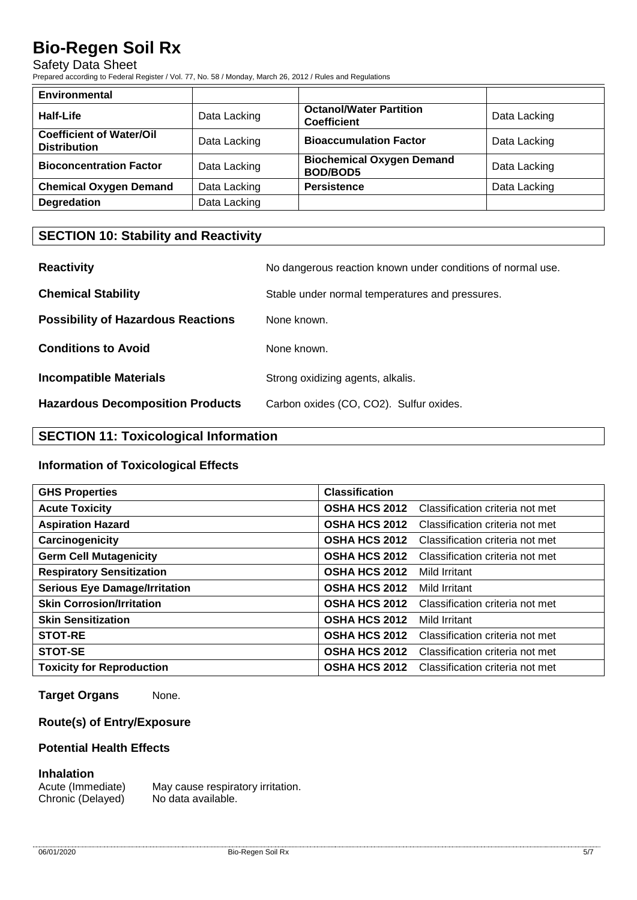#### Safety Data Sheet

Prepared according to Federal Register / Vol. 77, No. 58 / Monday, March 26, 2012 / Rules and Regulations

| <b>Environmental</b>                                   |              |                                                      |              |
|--------------------------------------------------------|--------------|------------------------------------------------------|--------------|
| Half-Life                                              | Data Lacking | <b>Octanol/Water Partition</b><br><b>Coefficient</b> | Data Lacking |
| <b>Coefficient of Water/Oil</b><br><b>Distribution</b> | Data Lacking | <b>Bioaccumulation Factor</b>                        | Data Lacking |
| <b>Bioconcentration Factor</b>                         | Data Lacking | <b>Biochemical Oxygen Demand</b><br><b>BOD/BOD5</b>  | Data Lacking |
| <b>Chemical Oxygen Demand</b>                          | Data Lacking | <b>Persistence</b>                                   | Data Lacking |
| <b>Degredation</b>                                     | Data Lacking |                                                      |              |

### **SECTION 10: Stability and Reactivity**

| <b>Reactivity</b>                         | No dangerous reaction known under conditions of normal use. |
|-------------------------------------------|-------------------------------------------------------------|
| <b>Chemical Stability</b>                 | Stable under normal temperatures and pressures.             |
| <b>Possibility of Hazardous Reactions</b> | None known.                                                 |
| <b>Conditions to Avoid</b>                | None known.                                                 |
| <b>Incompatible Materials</b>             | Strong oxidizing agents, alkalis.                           |
| <b>Hazardous Decomposition Products</b>   | Carbon oxides (CO, CO2). Sulfur oxides.                     |

# **SECTION 11: Toxicological Information**

#### **Information of Toxicological Effects**

| <b>GHS Properties</b>                | <b>Classification</b> |                                 |
|--------------------------------------|-----------------------|---------------------------------|
| <b>Acute Toxicity</b>                | <b>OSHA HCS 2012</b>  | Classification criteria not met |
| <b>Aspiration Hazard</b>             | <b>OSHA HCS 2012</b>  | Classification criteria not met |
| Carcinogenicity                      | <b>OSHA HCS 2012</b>  | Classification criteria not met |
| <b>Germ Cell Mutagenicity</b>        | <b>OSHA HCS 2012</b>  | Classification criteria not met |
| <b>Respiratory Sensitization</b>     | <b>OSHA HCS 2012</b>  | Mild Irritant                   |
| <b>Serious Eye Damage/Irritation</b> | <b>OSHA HCS 2012</b>  | Mild Irritant                   |
| <b>Skin Corrosion/Irritation</b>     | <b>OSHA HCS 2012</b>  | Classification criteria not met |
| <b>Skin Sensitization</b>            | <b>OSHA HCS 2012</b>  | Mild Irritant                   |
| <b>STOT-RE</b>                       | <b>OSHA HCS 2012</b>  | Classification criteria not met |
| STOT-SE                              | <b>OSHA HCS 2012</b>  | Classification criteria not met |
| <b>Toxicity for Reproduction</b>     | <b>OSHA HCS 2012</b>  | Classification criteria not met |

**Target Organs** None.

### **Route(s) of Entry/Exposure**

#### **Potential Health Effects**

#### **Inhalation**

Acute (Immediate) May cause respiratory irritation. Chronic (Delayed) No data available.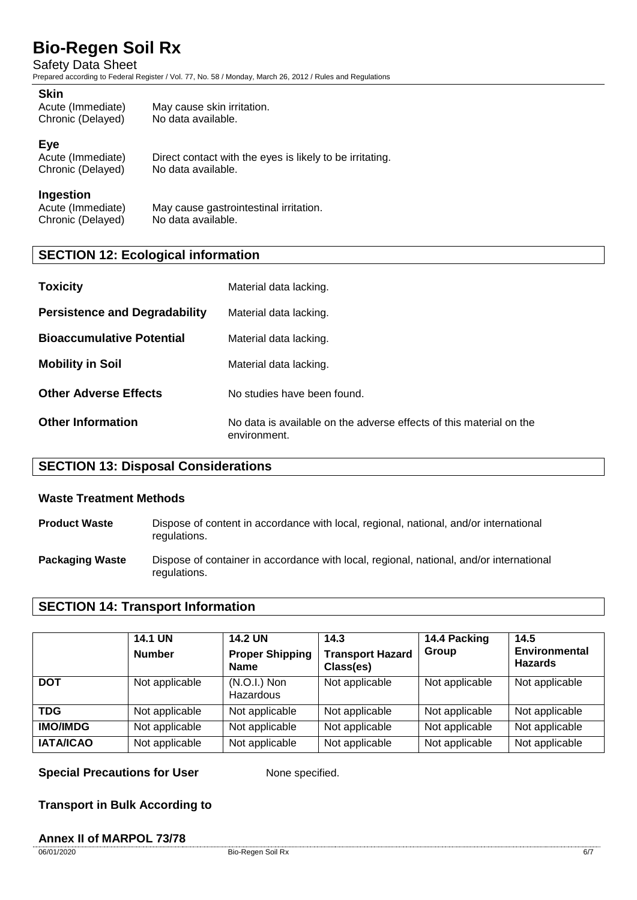Safety Data Sheet

Prepared according to Federal Register / Vol. 77, No. 58 / Monday, March 26, 2012 / Rules and Regulations

#### **Skin**

| Acute (Immediate) | May cause skin irritation. |
|-------------------|----------------------------|
| Chronic (Delayed) | No data available.         |

#### **Eye**

| Acute (Immediate) | Direct contact with the eyes is likely to be irritating. |
|-------------------|----------------------------------------------------------|
| Chronic (Delayed) | No data available.                                       |

#### **Ingestion**

Acute (Immediate) May cause gastrointestinal irritation.<br>Chronic (Delaved) No data available. Chronic (Delayed)

### **SECTION 12: Ecological information**

| <b>Toxicity</b>                      | Material data lacking.                                                              |
|--------------------------------------|-------------------------------------------------------------------------------------|
| <b>Persistence and Degradability</b> | Material data lacking.                                                              |
| <b>Bioaccumulative Potential</b>     | Material data lacking.                                                              |
| <b>Mobility in Soil</b>              | Material data lacking.                                                              |
| <b>Other Adverse Effects</b>         | No studies have been found.                                                         |
| <b>Other Information</b>             | No data is available on the adverse effects of this material on the<br>environment. |

#### **SECTION 13: Disposal Considerations**

#### **Waste Treatment Methods**

- **Product Waste** Dispose of content in accordance with local, regional, national, and/or international regulations.
- **Packaging Waste** Dispose of container in accordance with local, regional, national, and/or international regulations.

#### **SECTION 14: Transport Information**

|                  | <b>14.1 UN</b><br><b>Number</b> | <b>14.2 UN</b><br><b>Proper Shipping</b><br><b>Name</b> | 14.3<br><b>Transport Hazard</b><br>Class(es) | 14.4 Packing<br>Group | 14.5<br><b>Environmental</b><br><b>Hazards</b> |
|------------------|---------------------------------|---------------------------------------------------------|----------------------------------------------|-----------------------|------------------------------------------------|
| <b>DOT</b>       | Not applicable                  | $(N.O.I.)$ Non<br>Hazardous                             | Not applicable                               | Not applicable        | Not applicable                                 |
| TDG              | Not applicable                  | Not applicable                                          | Not applicable                               | Not applicable        | Not applicable                                 |
| <b>IMO/IMDG</b>  | Not applicable                  | Not applicable                                          | Not applicable                               | Not applicable        | Not applicable                                 |
| <b>IATA/ICAO</b> | Not applicable                  | Not applicable                                          | Not applicable                               | Not applicable        | Not applicable                                 |

**Special Precautions for User** None specified.

**Transport in Bulk According to**

#### **Annex II of MARPOL 73/78**